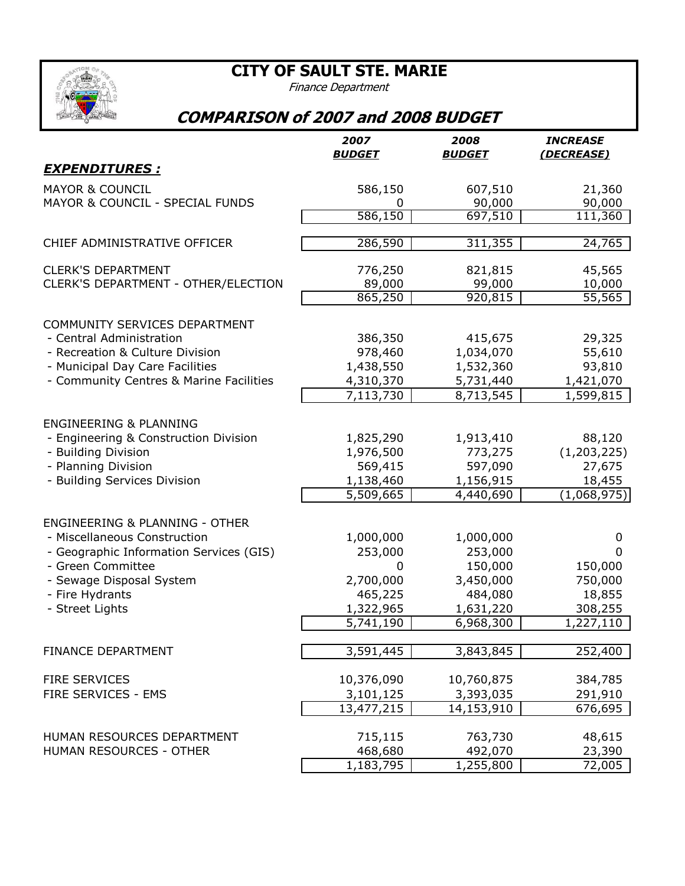**CITY OF SAULT STE. MARIE**



## Finance Department

## **COMPARISON of 2007 and 2008 BUDGET**

|                                                              | 2007          | 2008                 | <b>INCREASE</b> |
|--------------------------------------------------------------|---------------|----------------------|-----------------|
| <b>EXPENDITURES:</b>                                         | <b>BUDGET</b> | <b>BUDGET</b>        | (DECREASE)      |
|                                                              |               |                      |                 |
| <b>MAYOR &amp; COUNCIL</b>                                   | 586,150       | 607,510              | 21,360          |
| MAYOR & COUNCIL - SPECIAL FUNDS                              | 0             | 90,000               | 90,000          |
|                                                              | 586,150       | 697,510              | 111,360         |
| CHIEF ADMINISTRATIVE OFFICER                                 | 286,590       | 311,355              | 24,765          |
| <b>CLERK'S DEPARTMENT</b>                                    | 776,250       | 821,815              | 45,565          |
| CLERK'S DEPARTMENT - OTHER/ELECTION                          | 89,000        | 99,000               | 10,000          |
|                                                              | 865,250       | 920,815              | 55,565          |
| COMMUNITY SERVICES DEPARTMENT                                |               |                      |                 |
| - Central Administration                                     | 386,350       | 415,675              | 29,325          |
| - Recreation & Culture Division                              | 978,460       | 1,034,070            | 55,610          |
| - Municipal Day Care Facilities                              | 1,438,550     | 1,532,360            | 93,810          |
| - Community Centres & Marine Facilities                      | 4,310,370     | 5,731,440            | 1,421,070       |
|                                                              | 7,113,730     | 8,713,545            | 1,599,815       |
|                                                              |               |                      |                 |
| <b>ENGINEERING &amp; PLANNING</b>                            |               |                      |                 |
| - Engineering & Construction Division                        | 1,825,290     | 1,913,410            | 88,120          |
| - Building Division                                          | 1,976,500     | 773,275              | (1, 203, 225)   |
| - Planning Division                                          | 569,415       | 597,090              | 27,675          |
| - Building Services Division                                 | 1,138,460     | 1,156,915            | 18,455          |
|                                                              | 5,509,665     | 4,440,690            | (1,068,975)     |
| <b>ENGINEERING &amp; PLANNING - OTHER</b>                    |               |                      |                 |
| - Miscellaneous Construction                                 |               |                      | 0               |
|                                                              | 1,000,000     | 1,000,000<br>253,000 | 0               |
| - Geographic Information Services (GIS)<br>- Green Committee | 253,000<br>0  | 150,000              | 150,000         |
| - Sewage Disposal System                                     | 2,700,000     | 3,450,000            | 750,000         |
|                                                              | 465,225       | 484,080              | 18,855          |
| - Fire Hydrants<br>- Street Lights                           | 1,322,965     | 1,631,220            | 308,255         |
|                                                              | 5,741,190     | 6,968,300            | 1,227,110       |
|                                                              |               |                      |                 |
| <b>FINANCE DEPARTMENT</b>                                    | 3,591,445     | 3,843,845            | 252,400         |
|                                                              |               |                      |                 |
| <b>FIRE SERVICES</b>                                         | 10,376,090    | 10,760,875           | 384,785         |
| FIRE SERVICES - EMS                                          | 3,101,125     | 3,393,035            | 291,910         |
|                                                              | 13,477,215    | 14,153,910           | 676,695         |
| HUMAN RESOURCES DEPARTMENT                                   | 715,115       | 763,730              | 48,615          |
| HUMAN RESOURCES - OTHER                                      | 468,680       | 492,070              | 23,390          |
|                                                              | 1,183,795     | 1,255,800            | 72,005          |
|                                                              |               |                      |                 |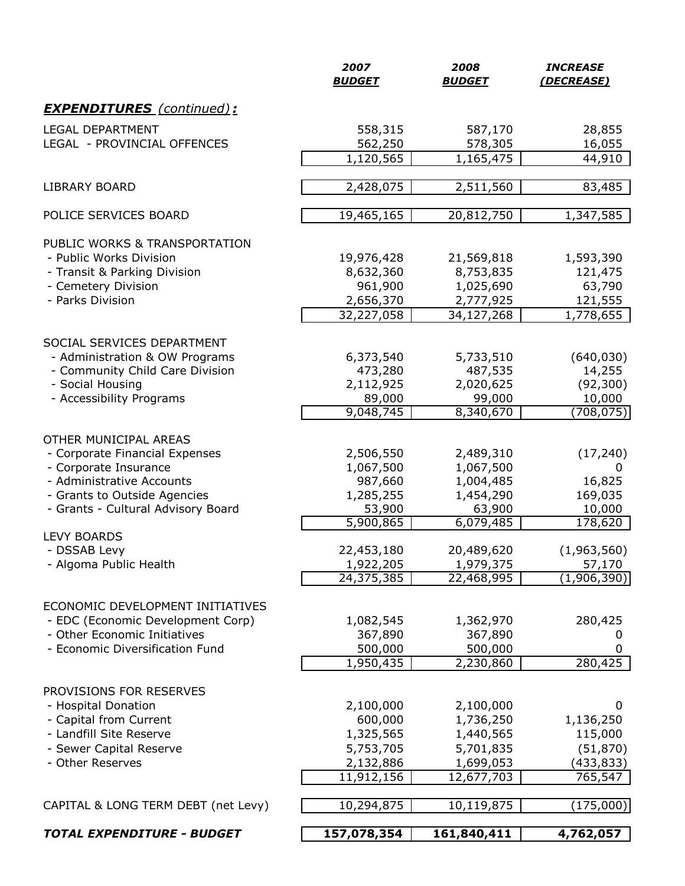|                                                          | 2007<br><b>BUDGET</b>   | 2008<br><b>BUDGET</b>   | <b>INCREASE</b><br>(DECREASE) |
|----------------------------------------------------------|-------------------------|-------------------------|-------------------------------|
| <b>EXPENDITURES</b> (continued):                         |                         |                         |                               |
| <b>LEGAL DEPARTMENT</b>                                  | 558,315                 | 587,170                 | 28,855                        |
| LEGAL - PROVINCIAL OFFENCES                              | 562,250                 | 578,305                 | 16,055                        |
|                                                          | 1,120,565               | $\overline{1,165,475}$  | 44,910                        |
| <b>LIBRARY BOARD</b>                                     | 2,428,075               | 2,511,560               | 83,485                        |
| POLICE SERVICES BOARD                                    | 19,465,165              | 20,812,750              | 1,347,585                     |
|                                                          |                         |                         |                               |
| PUBLIC WORKS & TRANSPORTATION<br>- Public Works Division |                         |                         |                               |
|                                                          | 19,976,428              | 21,569,818              | 1,593,390                     |
| - Transit & Parking Division                             | 8,632,360               | 8,753,835               | 121,475                       |
| - Cemetery Division<br>- Parks Division                  | 961,900                 | 1,025,690               | 63,790                        |
|                                                          | 2,656,370<br>32,227,058 | 2,777,925<br>34,127,268 | 121,555<br>1,778,655          |
|                                                          |                         |                         |                               |
| SOCIAL SERVICES DEPARTMENT                               |                         |                         |                               |
| - Administration & OW Programs                           | 6,373,540               | 5,733,510               | (640, 030)                    |
| - Community Child Care Division                          | 473,280                 | 487,535                 | 14,255                        |
| - Social Housing                                         | 2,112,925               | 2,020,625               | (92, 300)                     |
| - Accessibility Programs                                 | 89,000<br>9,048,745     | 99,000<br>8,340,670     | 10,000<br>(708, 075)          |
|                                                          |                         |                         |                               |
| OTHER MUNICIPAL AREAS                                    |                         |                         |                               |
| - Corporate Financial Expenses                           | 2,506,550               | 2,489,310               | (17, 240)                     |
| - Corporate Insurance                                    | 1,067,500               | 1,067,500               | 0                             |
| - Administrative Accounts                                | 987,660                 | 1,004,485               | 16,825                        |
| - Grants to Outside Agencies                             | 1,285,255               | 1,454,290               | 169,035                       |
| - Grants - Cultural Advisory Board                       | 53,900                  | 63,900                  | 10,000                        |
| <b>LEVY BOARDS</b>                                       | 5,900,865               | 6,079,485               | 178,620                       |
| - DSSAB Levy                                             | 22,453,180              | 20,489,620              | (1,963,560)                   |
| - Algoma Public Health                                   | 1,922,205               | 1,979,375               | 57,170                        |
|                                                          | 24,375,385              | 22,468,995              | (1,906,390)                   |
|                                                          |                         |                         |                               |
| ECONOMIC DEVELOPMENT INITIATIVES                         |                         |                         |                               |
| - EDC (Economic Development Corp)                        | 1,082,545               | 1,362,970               | 280,425                       |
| - Other Economic Initiatives                             | 367,890                 | 367,890                 | 0                             |
| - Economic Diversification Fund                          | 500,000                 | 500,000                 | 0                             |
|                                                          | 1,950,435               | 2,230,860               | 280,425                       |
| PROVISIONS FOR RESERVES                                  |                         |                         |                               |
| - Hospital Donation                                      | 2,100,000               | 2,100,000               | 0                             |
| - Capital from Current                                   | 600,000                 | 1,736,250               | 1,136,250                     |
| - Landfill Site Reserve                                  | 1,325,565               | 1,440,565               | 115,000                       |
| - Sewer Capital Reserve                                  | 5,753,705               | 5,701,835               | (51, 870)                     |
| - Other Reserves                                         | 2,132,886               | 1,699,053               | (433,833)                     |
|                                                          | 11,912,156              | 12,677,703              | 765,547                       |
|                                                          |                         |                         |                               |
| CAPITAL & LONG TERM DEBT (net Levy)                      | 10,294,875              | 10,119,875              | (175,000)                     |
| <b>TOTAL EXPENDITURE - BUDGET</b>                        | 157,078,354             | 161,840,411             | 4,762,057                     |